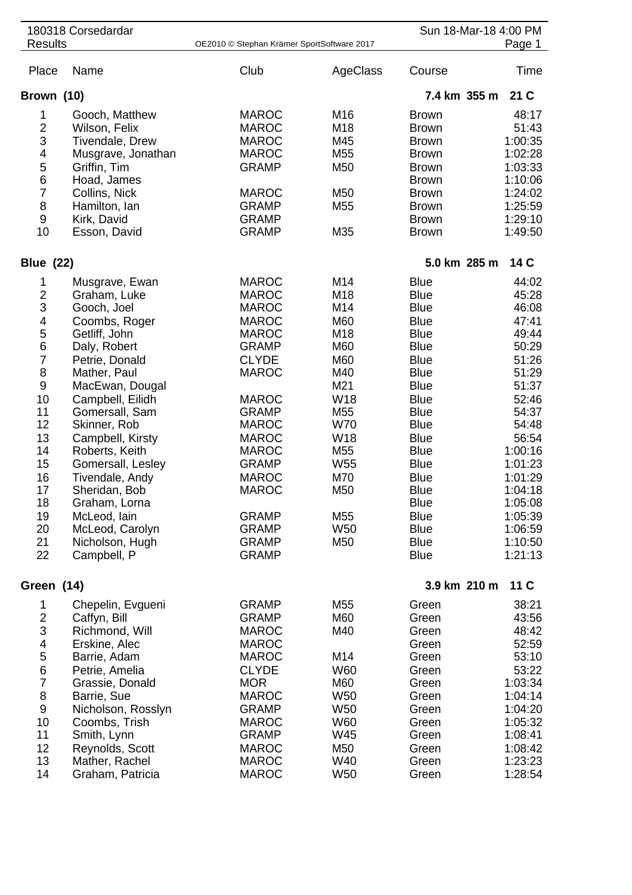| 180318 Corsedardar      |                        |                                            |                 | Sun 18-Mar-18 4:00 PM |         |
|-------------------------|------------------------|--------------------------------------------|-----------------|-----------------------|---------|
| <b>Results</b>          |                        | OE2010 © Stephan Krämer SportSoftware 2017 |                 |                       | Page 1  |
| Place                   | Name                   | Club                                       | AgeClass        | Course                | Time    |
| Brown (10)              |                        |                                            |                 | 7.4 km 355 m          | 21 C    |
| 1                       | Gooch, Matthew         | <b>MAROC</b>                               | M16             | <b>Brown</b>          | 48:17   |
| $\overline{2}$          | Wilson, Felix          | <b>MAROC</b>                               | M <sub>18</sub> | <b>Brown</b>          | 51:43   |
| 3                       | <b>Tivendale, Drew</b> | <b>MAROC</b>                               | M45             | <b>Brown</b>          | 1:00:35 |
| 4                       | Musgrave, Jonathan     | <b>MAROC</b>                               | M <sub>55</sub> | <b>Brown</b>          | 1:02:28 |
| 5                       | Griffin, Tim           | <b>GRAMP</b>                               | M <sub>50</sub> | <b>Brown</b>          | 1:03:33 |
| 6                       | Hoad, James            |                                            |                 | <b>Brown</b>          | 1:10:06 |
| $\overline{7}$          | Collins, Nick          | <b>MAROC</b>                               | M <sub>50</sub> | <b>Brown</b>          | 1:24:02 |
| 8                       | Hamilton, Ian          | <b>GRAMP</b>                               | M <sub>55</sub> | <b>Brown</b>          | 1:25:59 |
| $\boldsymbol{9}$        | Kirk, David            | <b>GRAMP</b>                               |                 | <b>Brown</b>          | 1:29:10 |
| 10                      | Esson, David           | <b>GRAMP</b>                               | M35             | <b>Brown</b>          | 1:49:50 |
| <b>Blue (22)</b>        |                        |                                            |                 | 5.0 km 285 m          | 14 C    |
| 1                       | Musgrave, Ewan         | <b>MAROC</b>                               | M14             | <b>Blue</b>           | 44:02   |
| $\overline{\mathbf{c}}$ | Graham, Luke           | <b>MAROC</b>                               | M <sub>18</sub> | <b>Blue</b>           | 45:28   |
| 3                       | Gooch, Joel            | <b>MAROC</b>                               | M14             | <b>Blue</b>           | 46:08   |
| 4                       | Coombs, Roger          | <b>MAROC</b>                               | M60             | <b>Blue</b>           | 47:41   |
| 5                       | Getliff, John          | <b>MAROC</b>                               | M18             | <b>Blue</b>           | 49:44   |
| 6                       | Daly, Robert           | <b>GRAMP</b>                               | M60             | <b>Blue</b>           | 50:29   |
| $\overline{7}$          | Petrie, Donald         | <b>CLYDE</b>                               | M60             | <b>Blue</b>           | 51:26   |
| 8                       | Mather, Paul           | <b>MAROC</b>                               | M40             | <b>Blue</b>           | 51:29   |
| $\boldsymbol{9}$        | MacEwan, Dougal        |                                            | M21             | <b>Blue</b>           | 51:37   |
| 10                      | Campbell, Eilidh       | <b>MAROC</b>                               | W18             | <b>Blue</b>           | 52:46   |
| 11                      | Gomersall, Sam         | <b>GRAMP</b>                               | M <sub>55</sub> | <b>Blue</b>           | 54:37   |
| 12                      | Skinner, Rob           | <b>MAROC</b>                               | <b>W70</b>      | <b>Blue</b>           | 54:48   |
| 13                      | Campbell, Kirsty       | <b>MAROC</b>                               | W18             | <b>Blue</b>           | 56:54   |
| 14                      | Roberts, Keith         | <b>MAROC</b>                               | M <sub>55</sub> | <b>Blue</b>           | 1:00:16 |
| 15                      | Gomersall, Lesley      | <b>GRAMP</b>                               | W <sub>55</sub> | <b>Blue</b>           | 1:01:23 |
| 16                      | Tivendale, Andy        | <b>MAROC</b>                               | M70             | <b>Blue</b>           | 1:01:29 |
| 17                      | Sheridan, Bob          | <b>MAROC</b>                               | M50             | <b>Blue</b>           | 1:04:18 |
| 18                      | Graham, Lorna          |                                            |                 | <b>Blue</b>           | 1:05:08 |
| 19                      | McLeod, lain           | <b>GRAMP</b>                               | M <sub>55</sub> | <b>Blue</b>           | 1:05:39 |
| 20                      | McLeod, Carolyn        | <b>GRAMP</b>                               | W <sub>50</sub> | <b>Blue</b>           | 1:06:59 |
| 21                      | Nicholson, Hugh        | <b>GRAMP</b>                               | M50             | <b>Blue</b>           | 1:10:50 |
| 22                      | Campbell, P            | <b>GRAMP</b>                               |                 | <b>Blue</b>           | 1:21:13 |
| Green (14)              |                        |                                            |                 | 3.9 km 210 m          | 11 C    |
|                         |                        |                                            |                 |                       |         |
| 1                       | Chepelin, Evgueni      | <b>GRAMP</b>                               | M <sub>55</sub> | Green                 | 38:21   |
| $\overline{c}$          | Caffyn, Bill           | <b>GRAMP</b>                               | M60             | Green                 | 43:56   |
| 3                       | Richmond, Will         | <b>MAROC</b>                               | M40             | Green                 | 48:42   |
| 4                       | Erskine, Alec          | <b>MAROC</b>                               |                 | Green                 | 52:59   |
| 5                       | Barrie, Adam           | <b>MAROC</b>                               | M14             | Green                 | 53:10   |
| 6                       | Petrie, Amelia         | <b>CLYDE</b>                               | W60             | Green                 | 53:22   |
| $\overline{7}$          | Grassie, Donald        | <b>MOR</b>                                 | M60             | Green                 | 1:03:34 |
| 8                       | Barrie, Sue            | <b>MAROC</b>                               | W <sub>50</sub> | Green                 | 1:04:14 |
| $\boldsymbol{9}$        | Nicholson, Rosslyn     | <b>GRAMP</b>                               | <b>W50</b>      | Green                 | 1:04:20 |
| 10                      | Coombs, Trish          | <b>MAROC</b>                               | <b>W60</b>      | Green                 | 1:05:32 |
| 11                      | Smith, Lynn            | <b>GRAMP</b>                               | W45             | Green                 | 1:08:41 |
| 12                      | Reynolds, Scott        | <b>MAROC</b>                               | M50             | Green                 | 1:08:42 |
| 13                      | Mather, Rachel         | <b>MAROC</b>                               | W40             | Green                 | 1:23:23 |
| 14                      | Graham, Patricia       | <b>MAROC</b>                               | W <sub>50</sub> | Green                 | 1:28:54 |